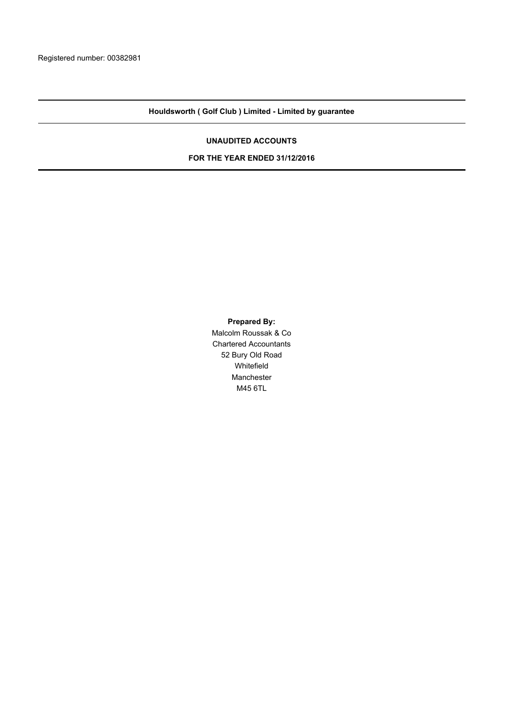## **Houldsworth ( Golf Club ) Limited - Limited by guarantee**

#### **UNAUDITED ACCOUNTS**

#### **FOR THE YEAR ENDED 31/12/2016**

**Prepared By:**

Malcolm Roussak & Co Chartered Accountants 52 Bury Old Road Whitefield Manchester M45 6TL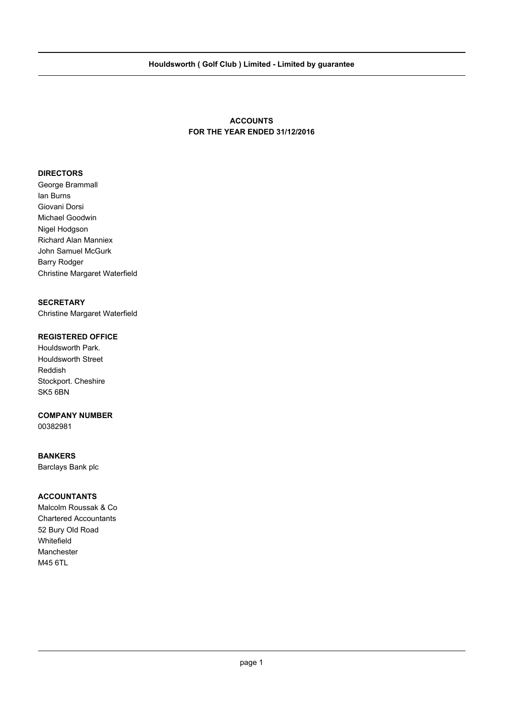## **ACCOUNTS FOR THE YEAR ENDED 31/12/2016**

## **DIRECTORS**

George Brammall Ian Burns Giovani Dorsi Michael Goodwin Nigel Hodgson Richard Alan Manniex John Samuel McGurk Barry Rodger Christine Margaret Waterfield

### **SECRETARY**

Christine Margaret Waterfield

### **REGISTERED OFFICE**

Houldsworth Park. Houldsworth Street Reddish Stockport. Cheshire SK5 6BN

#### **COMPANY NUMBER**

00382981

#### **BANKERS**

Barclays Bank plc

### **ACCOUNTANTS**

Malcolm Roussak & Co Chartered Accountants 52 Bury Old Road Whitefield Manchester M45 6TL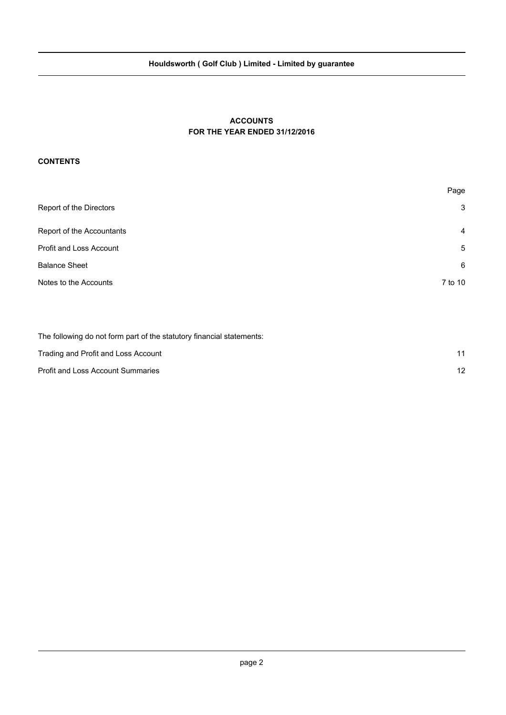# **Houldsworth ( Golf Club ) Limited - Limited by guarantee**

## **ACCOUNTS FOR THE YEAR ENDED 31/12/2016**

#### **CONTENTS**

| Page           |
|----------------|
| 3              |
| $\overline{4}$ |
| 5              |
| 6              |
| 7 to 10        |
|                |

The following do not form part of the statutory financial statements:

| Trading and Profit and Loss Account      |  |
|------------------------------------------|--|
| <b>Profit and Loss Account Summaries</b> |  |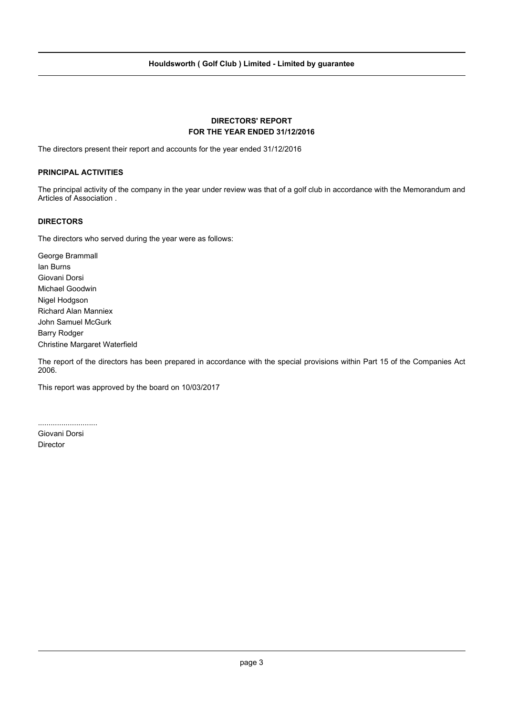## **DIRECTORS' REPORT FOR THE YEAR ENDED 31/12/2016**

The directors present their report and accounts for the year ended 31/12/2016

#### **PRINCIPAL ACTIVITIES**

The principal activity of the company in the year under review was that of a golf club in accordance with the Memorandum and Articles of Association .

#### **DIRECTORS**

The directors who served during the year were as follows:

George Brammall Ian Burns Giovani Dorsi Michael Goodwin Nigel Hodgson Richard Alan Manniex John Samuel McGurk Barry Rodger Christine Margaret Waterfield

The report of the directors has been prepared in accordance with the special provisions within Part 15 of the Companies Act 2006.

This report was approved by the board on 10/03/2017

............................

Giovani Dorsi Director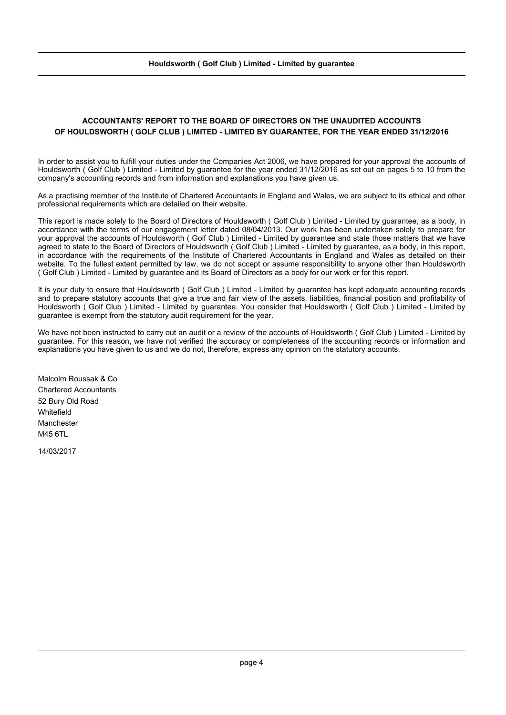## **ACCOUNTANTS' REPORT TO THE BOARD OF DIRECTORS ON THE UNAUDITED ACCOUNTS OF HOULDSWORTH ( GOLF CLUB ) LIMITED - LIMITED BY GUARANTEE, FOR THE YEAR ENDED 31/12/2016**

In order to assist you to fulfill your duties under the Companies Act 2006, we have prepared for your approval the accounts of Houldsworth ( Golf Club ) Limited - Limited by guarantee for the year ended 31/12/2016 as set out on pages 5 to 10 from the company's accounting records and from information and explanations you have given us.

As a practising member of the Institute of Chartered Accountants in England and Wales, we are subject to its ethical and other professional requirements which are detailed on their website.

This report is made solely to the Board of Directors of Houldsworth ( Golf Club ) Limited - Limited by guarantee, as a body, in accordance with the terms of our engagement letter dated 08/04/2013. Our work has been undertaken solely to prepare for your approval the accounts of Houldsworth ( Golf Club ) Limited - Limited by guarantee and state those matters that we have agreed to state to the Board of Directors of Houldsworth (Golf Club ) Limited - Limited by guarantee, as a body, in this report, in accordance with the requirements of the Institute of Chartered Accountants in England and Wales as detailed on their website. To the fullest extent permitted by law, we do not accept or assume responsibility to anyone other than Houldsworth ( Golf Club ) Limited - Limited by guarantee and its Board of Directors as a body for our work or for this report.

It is your duty to ensure that Houldsworth (Golf Club) Limited - Limited by guarantee has kept adequate accounting records and to prepare statutory accounts that give a true and fair view of the assets, liabilities, financial position and profitability of Houldsworth ( Golf Club ) Limited - Limited by guarantee. You consider that Houldsworth ( Golf Club ) Limited - Limited by guarantee is exempt from the statutory audit requirement for the year.

We have not been instructed to carry out an audit or a review of the accounts of Houldsworth (Golf Club) Limited - Limited by guarantee. For this reason, we have not verified the accuracy or completeness of the accounting records or information and explanations you have given to us and we do not, therefore, express any opinion on the statutory accounts.

Malcolm Roussak & Co Chartered Accountants 52 Bury Old Road **Whitefield** Manchester **M45 6TL** 

14/03/2017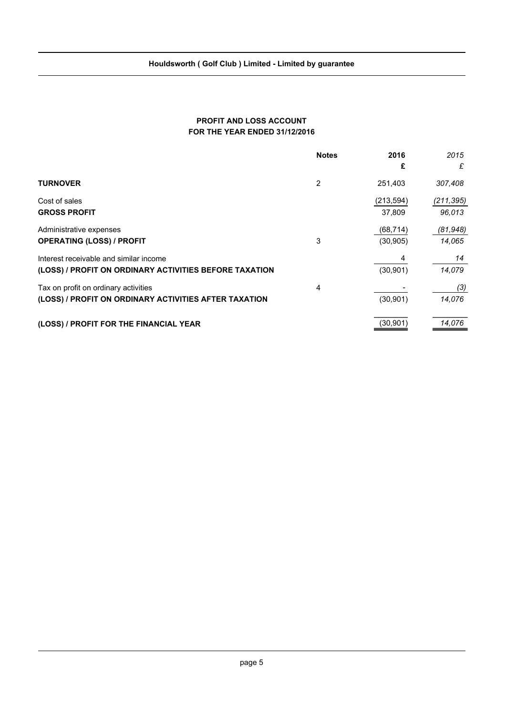## **PROFIT AND LOSS ACCOUNT FOR THE YEAR ENDED 31/12/2016**

|                                                                                                  | <b>Notes</b> | 2016<br>£              | 2015<br>£            |
|--------------------------------------------------------------------------------------------------|--------------|------------------------|----------------------|
| <b>TURNOVER</b>                                                                                  | 2            | 251,403                | 307,408              |
| Cost of sales<br><b>GROSS PROFIT</b>                                                             |              | (213, 594)<br>37,809   | (211, 395)<br>96,013 |
| Administrative expenses<br><b>OPERATING (LOSS) / PROFIT</b>                                      | 3            | (68, 714)<br>(30, 905) | (81, 948)<br>14,065  |
| Interest receivable and similar income<br>(LOSS) / PROFIT ON ORDINARY ACTIVITIES BEFORE TAXATION |              | 4<br>(30, 901)         | 14<br>14,079         |
| Tax on profit on ordinary activities<br>(LOSS) / PROFIT ON ORDINARY ACTIVITIES AFTER TAXATION    | 4            | (30, 901)              | (3)<br>14,076        |
| (LOSS) / PROFIT FOR THE FINANCIAL YEAR                                                           |              | (30, 901)              | 14,076               |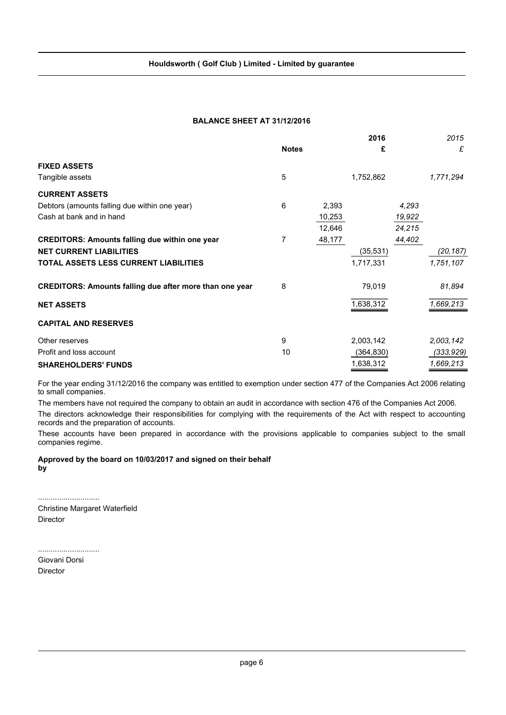### **BALANCE SHEET AT 31/12/2016**

|                                                                |              |        | 2016       |        | 2015       |
|----------------------------------------------------------------|--------------|--------|------------|--------|------------|
|                                                                | <b>Notes</b> |        | £          |        | £          |
| <b>FIXED ASSETS</b>                                            |              |        |            |        |            |
| Tangible assets                                                | 5            |        | 1,752,862  |        | 1,771,294  |
| <b>CURRENT ASSETS</b>                                          |              |        |            |        |            |
| Debtors (amounts falling due within one year)                  | 6            | 2,393  |            | 4,293  |            |
| Cash at bank and in hand                                       |              | 10,253 |            | 19,922 |            |
|                                                                |              | 12,646 |            | 24,215 |            |
| <b>CREDITORS: Amounts falling due within one year</b>          | 7            | 48,177 |            | 44,402 |            |
| <b>NET CURRENT LIABILITIES</b>                                 |              |        | (35,531)   |        | (20, 187)  |
| TOTAL ASSETS LESS CURRENT LIABILITIES                          |              |        | 1,717,331  |        | 1,751,107  |
| <b>CREDITORS: Amounts falling due after more than one year</b> | 8            |        | 79,019     |        | 81,894     |
| <b>NET ASSETS</b>                                              |              |        | 1,638,312  |        | 1,669,213  |
| <b>CAPITAL AND RESERVES</b>                                    |              |        |            |        |            |
| Other reserves                                                 | 9            |        | 2,003,142  |        | 2,003,142  |
| Profit and loss account                                        | 10           |        | (364, 830) |        | (333, 929) |
| <b>SHAREHOLDERS' FUNDS</b>                                     |              |        | 1,638,312  |        | 1,669,213  |

For the year ending 31/12/2016 the company was entitled to exemption under section 477 of the Companies Act 2006 relating to small companies.

The members have not required the company to obtain an audit in accordance with section 476 of the Companies Act 2006.

The directors acknowledge their responsibilities for complying with the requirements of the Act with respect to accounting records and the preparation of accounts.

These accounts have been prepared in accordance with the provisions applicable to companies subject to the small companies regime.

**Approved by the board on 10/03/2017 and signed on their behalf by**

............................. Christine Margaret Waterfield Director

............................. Giovani Dorsi Director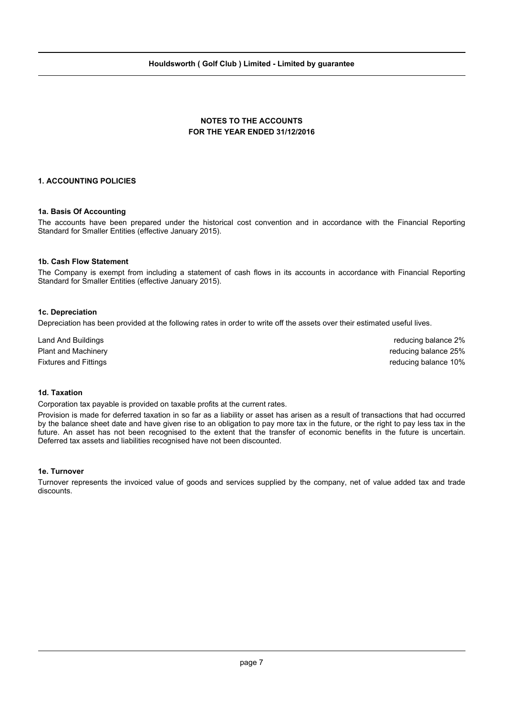## **NOTES TO THE ACCOUNTS FOR THE YEAR ENDED 31/12/2016**

#### **1. ACCOUNTING POLICIES**

#### **1a. Basis Of Accounting**

The accounts have been prepared under the historical cost convention and in accordance with the Financial Reporting Standard for Smaller Entities (effective January 2015).

#### **1b. Cash Flow Statement**

The Company is exempt from including a statement of cash flows in its accounts in accordance with Financial Reporting Standard for Smaller Entities (effective January 2015).

#### **1c. Depreciation**

Depreciation has been provided at the following rates in order to write off the assets over their estimated useful lives.

Land And Buildings reducing balance 2% Plant and Machinery **reducing balance 25%** reducing balance 25% Fixtures and Fittings reducing balance 10%

#### **1d. Taxation**

Corporation tax payable is provided on taxable profits at the current rates.

Provision is made for deferred taxation in so far as a liability or asset has arisen as a result of transactions that had occurred by the balance sheet date and have given rise to an obligation to pay more tax in the future, or the right to pay less tax in the future. An asset has not been recognised to the extent that the transfer of economic benefits in the future is uncertain. Deferred tax assets and liabilities recognised have not been discounted.

#### **1e. Turnover**

Turnover represents the invoiced value of goods and services supplied by the company, net of value added tax and trade discounts.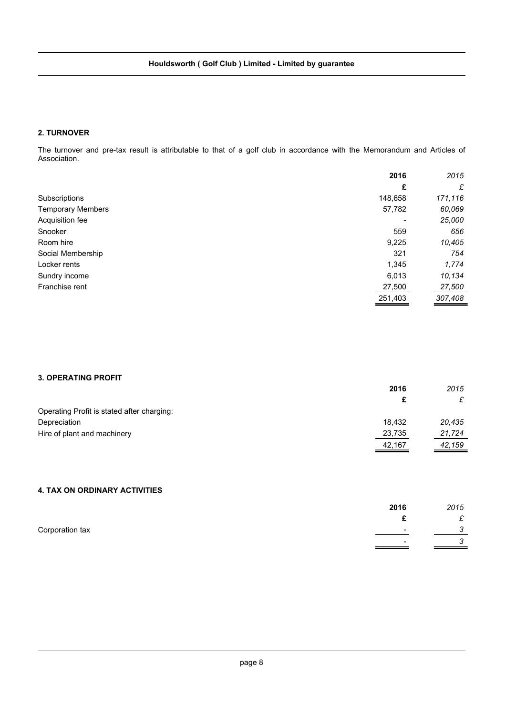## **2. TURNOVER**

The turnover and pre-tax result is attributable to that of a golf club in accordance with the Memorandum and Articles of Association.

|                          | 2016    | 2015    |
|--------------------------|---------|---------|
|                          | £       | £       |
| Subscriptions            | 148,658 | 171,116 |
| <b>Temporary Members</b> | 57,782  | 60,069  |
| Acquisition fee          |         | 25,000  |
| Snooker                  | 559     | 656     |
| Room hire                | 9,225   | 10,405  |
| Social Membership        | 321     | 754     |
| Locker rents             | 1,345   | 1,774   |
| Sundry income            | 6,013   | 10.134  |
| Franchise rent           | 27,500  | 27,500  |
|                          | 251,403 | 307,408 |

## **3. OPERATING PROFIT**

|                                            | 2016   | 2015   |
|--------------------------------------------|--------|--------|
|                                            | c      | £      |
| Operating Profit is stated after charging: |        |        |
| Depreciation                               | 18.432 | 20.435 |
| Hire of plant and machinery                | 23,735 | 21,724 |
|                                            | 42,167 | 42,159 |

## **4. TAX ON ORDINARY ACTIVITIES**

|                 | 2016 | 2015                          |
|-----------------|------|-------------------------------|
|                 |      | $\sim$                        |
| Corporation tax |      | $\overline{\phantom{0}}$<br>ັ |
|                 |      | ◠                             |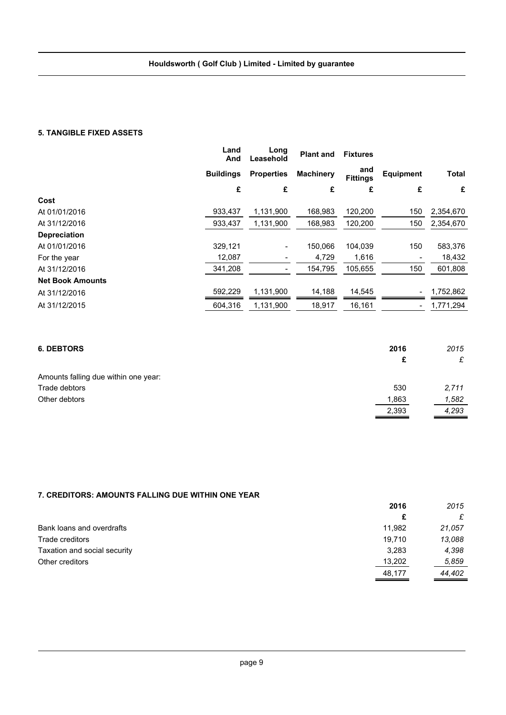#### **5. TANGIBLE FIXED ASSETS**

|                         | Land<br>And      | Long<br>Leasehold        | <b>Plant and</b> | <b>Fixtures</b>        |                          |              |
|-------------------------|------------------|--------------------------|------------------|------------------------|--------------------------|--------------|
|                         | <b>Buildings</b> | <b>Properties</b>        | <b>Machinery</b> | and<br><b>Fittings</b> | <b>Equipment</b>         | <b>Total</b> |
|                         | £                | £                        | £                | £                      | £                        | £            |
| Cost                    |                  |                          |                  |                        |                          |              |
| At 01/01/2016           | 933,437          | 1,131,900                | 168,983          | 120,200                | 150                      | 2,354,670    |
| At 31/12/2016           | 933,437          | 1,131,900                | 168,983          | 120,200                | 150                      | 2,354,670    |
| <b>Depreciation</b>     |                  |                          |                  |                        |                          |              |
| At 01/01/2016           | 329.121          | $\blacksquare$           | 150.066          | 104.039                | 150                      | 583,376      |
| For the year            | 12,087           | $\overline{\phantom{a}}$ | 4,729            | 1,616                  |                          | 18,432       |
| At 31/12/2016           | 341,208          | $\overline{\phantom{a}}$ | 154,795          | 105,655                | 150                      | 601,808      |
| <b>Net Book Amounts</b> |                  |                          |                  |                        |                          |              |
| At 31/12/2016           | 592,229          | 1,131,900                | 14,188           | 14,545                 | $\overline{\phantom{a}}$ | 1,752,862    |
| At 31/12/2015           | 604.316          | 1,131,900                | 18,917           | 16,161                 | $\overline{\phantom{a}}$ | 1,771,294    |

| <b>6. DEBTORS</b>                    | 2016  | 2015  |
|--------------------------------------|-------|-------|
|                                      | £     | £     |
| Amounts falling due within one year: |       |       |
| Trade debtors                        | 530   | 2,711 |
| Other debtors                        | 1,863 | 1,582 |
|                                      | 2,393 | 4,293 |

## **7. CREDITORS: AMOUNTS FALLING DUE WITHIN ONE YEAR**

|                              | 2016   | 2015   |
|------------------------------|--------|--------|
|                              | £      | £      |
| Bank loans and overdrafts    | 11,982 | 21,057 |
| Trade creditors              | 19.710 | 13,088 |
| Taxation and social security | 3,283  | 4,398  |
| Other creditors              | 13,202 | 5,859  |
|                              | 48,177 | 44.402 |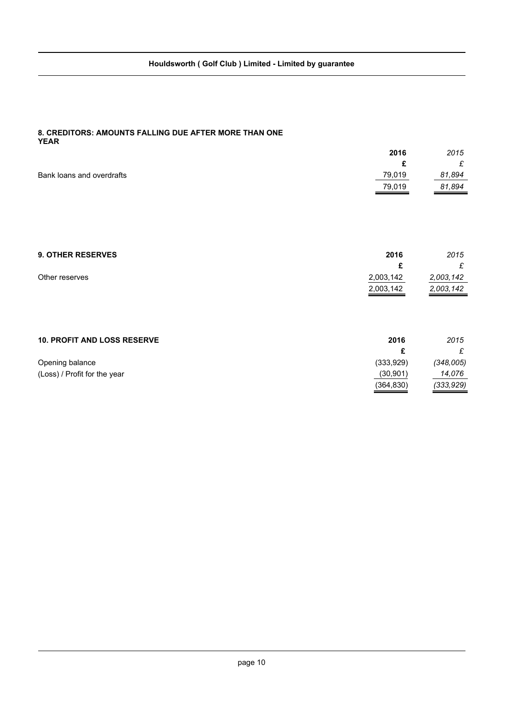#### **8. CREDITORS: AMOUNTS FALLING DUE AFTER MORE THAN ONE YEAR**

|                           | 2016   | 2015         |
|---------------------------|--------|--------------|
|                           |        | $\sim$<br>ż. |
| Bank loans and overdrafts | 79,019 | 81,894       |
|                           | 79,019 | 81,894       |
|                           |        |              |

| <b>9. OTHER RESERVES</b>           | 2016      | 2015      |
|------------------------------------|-----------|-----------|
|                                    | £         | £         |
| Other reserves                     | 2,003,142 | 2,003,142 |
|                                    | 2,003,142 | 2,003,142 |
|                                    |           |           |
|                                    |           |           |
|                                    |           |           |
| <b>10. PROFIT AND LOSS RESERVE</b> | 2016      | 2015      |

| Opening balance              | (333,929)  | (348.005) |
|------------------------------|------------|-----------|
| (Loss) / Profit for the year | (30, 901)  | 14.076    |
|                              | (364, 830) | (333,929) |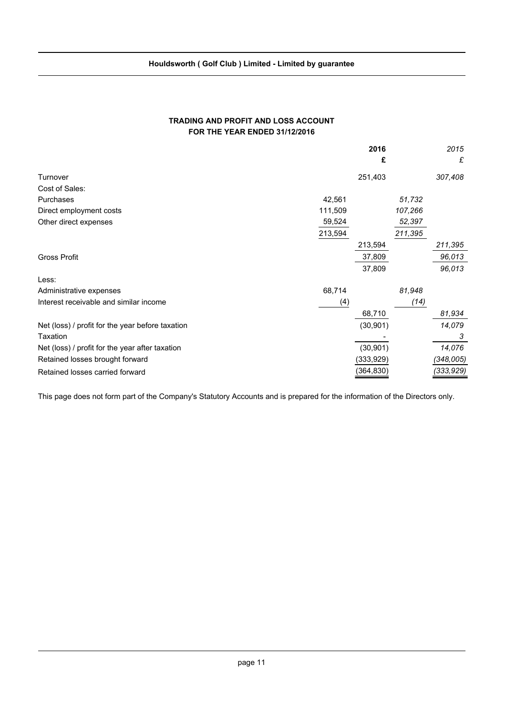## **TRADING AND PROFIT AND LOSS ACCOUNT FOR THE YEAR ENDED 31/12/2016**

|                                                  |         | 2016      |         | 2015      |
|--------------------------------------------------|---------|-----------|---------|-----------|
|                                                  |         | £         |         | £         |
| Turnover                                         |         | 251,403   |         | 307,408   |
| Cost of Sales:                                   |         |           |         |           |
| Purchases                                        | 42,561  |           | 51,732  |           |
| Direct employment costs                          | 111,509 |           | 107,266 |           |
| Other direct expenses                            | 59,524  |           | 52,397  |           |
|                                                  | 213,594 |           | 211,395 |           |
|                                                  |         | 213,594   |         | 211,395   |
| <b>Gross Profit</b>                              |         | 37,809    |         | 96,013    |
|                                                  |         | 37,809    |         | 96,013    |
| Less:                                            |         |           |         |           |
| Administrative expenses                          | 68,714  |           | 81,948  |           |
| Interest receivable and similar income           | (4)     |           | (14)    |           |
|                                                  |         | 68,710    |         | 81,934    |
| Net (loss) / profit for the year before taxation |         | (30, 901) |         | 14,079    |
| Taxation                                         |         |           |         | 3         |
| Net (loss) / profit for the year after taxation  |         | (30, 901) |         | 14,076    |
| Retained losses brought forward                  |         | (333,929) |         | (348,005) |
| Retained losses carried forward                  |         | (364,830) |         | (333,929) |

This page does not form part of the Company's Statutory Accounts and is prepared for the information of the Directors only.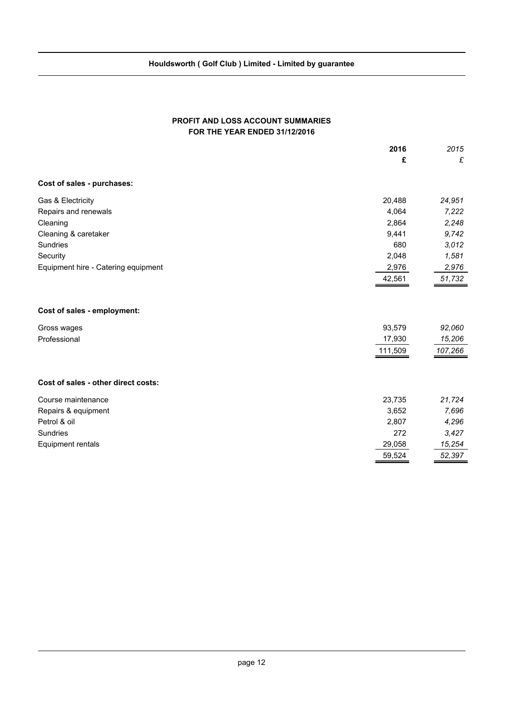## **PROFIT AND LOSS ACCOUNT SUMMARIES FOR THE YEAR ENDED 31/12/2016**

|                                     | 2016    | 2015    |
|-------------------------------------|---------|---------|
|                                     | £       | £       |
| Cost of sales - purchases:          |         |         |
| Gas & Electricity                   | 20,488  | 24,951  |
| Repairs and renewals                | 4,064   | 7,222   |
| Cleaning                            | 2,864   | 2,248   |
| Cleaning & caretaker                | 9,441   | 9,742   |
| Sundries                            | 680     | 3,012   |
| Security                            | 2,048   | 1,581   |
| Equipment hire - Catering equipment | 2,976   | 2,976   |
|                                     | 42,561  | 51,732  |
| Cost of sales - employment:         |         |         |
| Gross wages                         | 93,579  | 92,060  |
| Professional                        | 17,930  | 15,206  |
|                                     | 111,509 | 107,266 |
| Cost of sales - other direct costs: |         |         |
| Course maintenance                  | 23,735  | 21,724  |
| Repairs & equipment                 | 3,652   | 7,696   |
| Petrol & oil                        | 2,807   | 4,296   |
| Sundries                            | 272     | 3,427   |
| <b>Equipment rentals</b>            | 29,058  | 15,254  |
|                                     | 59,524  | 52,397  |